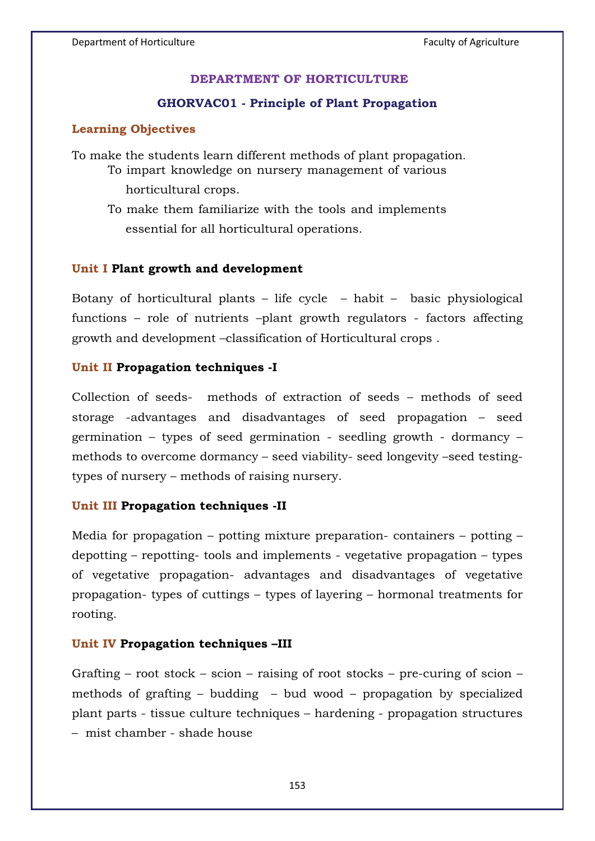## **DEPARTMENT OF HORTICULTURE**

### **GHORVAC01 - Principle of Plant Propagation**

#### **Learning Objectives**

To make the students learn different methods of plant propagation.

- To impart knowledge on nursery management of various
	- horticultural crops.
- To make them familiarize with the tools and implements essential for all horticultural operations.

#### **Unit I Plant growth and development**

Botany of horticultural plants – life cycle – habit – basic physiological functions – role of nutrients –plant growth regulators - factors affecting growth and development –classification of Horticultural crops .

### **Unit II Propagation techniques -I**

Collection of seeds- methods of extraction of seeds – methods of seed storage -advantages and disadvantages of seed propagation – seed germination – types of seed germination - seedling growth - dormancy – methods to overcome dormancy – seed viability- seed longevity –seed testingtypes of nursery – methods of raising nursery.

### **Unit III Propagation techniques -II**

Media for propagation – potting mixture preparation- containers – potting – depotting – repotting- tools and implements - vegetative propagation – types of vegetative propagation- advantages and disadvantages of vegetative propagation- types of cuttings – types of layering – hormonal treatments for rooting.

#### **Unit IV Propagation techniques –III**

Grafting – root stock – scion – raising of root stocks – pre-curing of scion – methods of grafting – budding – bud wood – propagation by specialized plant parts - tissue culture techniques – hardening - propagation structures – mist chamber - shade house